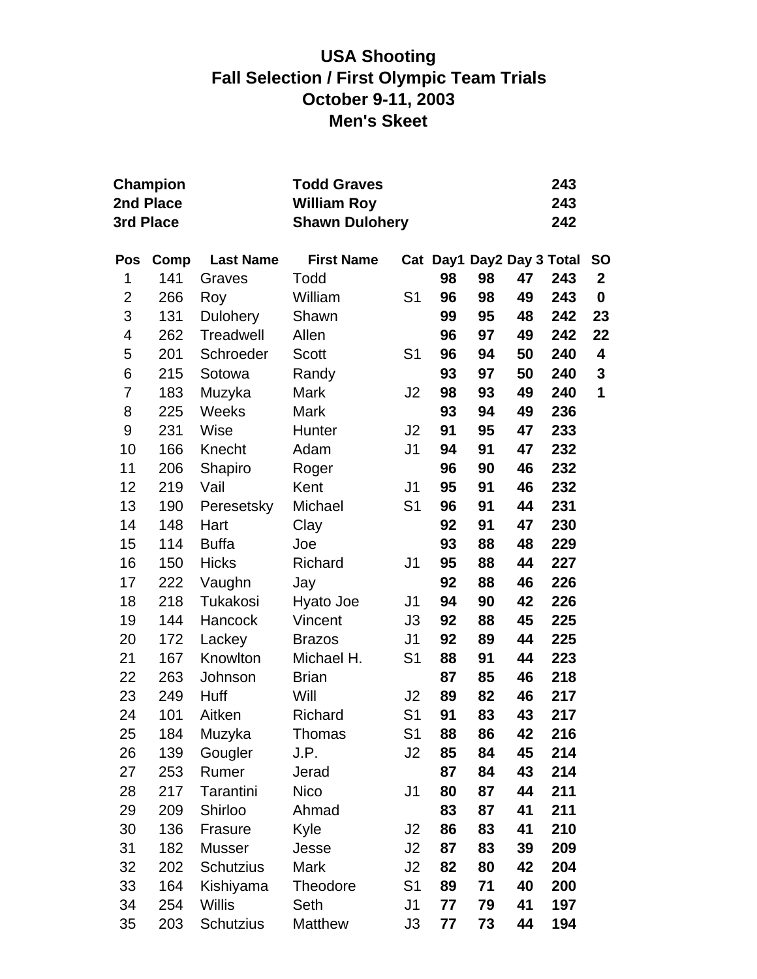# **USA Shooting Fall Selection / First Olympic Team Trials October 9-11, 2003 Men's Skeet**

|              | Champion<br>2nd Place<br>3rd Place |                  | <b>Todd Graves</b><br><b>William Roy</b><br><b>Shawn Dulohery</b> |                |                           |    |    | 243<br>243<br>242 |                  |
|--------------|------------------------------------|------------------|-------------------------------------------------------------------|----------------|---------------------------|----|----|-------------------|------------------|
| Pos          | Comp                               | <b>Last Name</b> | <b>First Name</b>                                                 |                | Cat Day1 Day2 Day 3 Total |    |    |                   | <b>SO</b>        |
| 1            | 141                                | Graves           | Todd                                                              |                | 98                        | 98 | 47 | 243               | $\mathbf{2}$     |
| $\mathbf{2}$ | 266                                | Roy              | William                                                           | S <sub>1</sub> | 96                        | 98 | 49 | 243               | $\boldsymbol{0}$ |
| 3            | 131                                | <b>Dulohery</b>  | Shawn                                                             |                | 99                        | 95 | 48 | 242               | 23               |
| 4            | 262                                | Treadwell        | Allen                                                             |                | 96                        | 97 | 49 | 242               | 22               |
| 5            | 201                                | Schroeder        | <b>Scott</b>                                                      | S <sub>1</sub> | 96                        | 94 | 50 | 240               | 4                |
| 6            | 215                                | Sotowa           | Randy                                                             |                | 93                        | 97 | 50 | 240               | 3                |
| 7            | 183                                | Muzyka           | Mark                                                              | J <sub>2</sub> | 98                        | 93 | 49 | 240               | 1                |
| 8            | 225                                | Weeks            | Mark                                                              |                | 93                        | 94 | 49 | 236               |                  |
| 9            | 231                                | Wise             | Hunter                                                            | J2             | 91                        | 95 | 47 | 233               |                  |
| 10           | 166                                | Knecht           | Adam                                                              | J <sub>1</sub> | 94                        | 91 | 47 | 232               |                  |
| 11           | 206                                | Shapiro          | Roger                                                             |                | 96                        | 90 | 46 | 232               |                  |
| 12           | 219                                | Vail             | Kent                                                              | J <sub>1</sub> | 95                        | 91 | 46 | 232               |                  |
| 13           | 190                                | Peresetsky       | Michael                                                           | S <sub>1</sub> | 96                        | 91 | 44 | 231               |                  |
| 14           | 148                                | Hart             | Clay                                                              |                | 92                        | 91 | 47 | 230               |                  |
| 15           | 114                                | <b>Buffa</b>     | Joe                                                               |                | 93                        | 88 | 48 | 229               |                  |
| 16           | 150                                | <b>Hicks</b>     | Richard                                                           | J <sub>1</sub> | 95                        | 88 | 44 | 227               |                  |
| 17           | 222                                | Vaughn           | Jay                                                               |                | 92                        | 88 | 46 | 226               |                  |
| 18           | 218                                | Tukakosi         | Hyato Joe                                                         | J <sub>1</sub> | 94                        | 90 | 42 | 226               |                  |
| 19           | 144                                | Hancock          | Vincent                                                           | J3             | 92                        | 88 | 45 | 225               |                  |
| 20           | 172                                | Lackey           | <b>Brazos</b>                                                     | J <sub>1</sub> | 92                        | 89 | 44 | 225               |                  |
| 21           | 167                                | Knowlton         | Michael H.                                                        | S <sub>1</sub> | 88                        | 91 | 44 | 223               |                  |
| 22           | 263                                | Johnson          | <b>Brian</b>                                                      |                | 87                        | 85 | 46 | 218               |                  |
| 23           | 249                                | Huff             | Will                                                              | J2             | 89                        | 82 | 46 | 217               |                  |
| 24           | 101                                | Aitken           | Richard                                                           | S <sub>1</sub> | 91                        | 83 | 43 | 217               |                  |
| 25           | 184                                | Muzyka           | Thomas                                                            | S <sub>1</sub> | 88                        | 86 | 42 | 216               |                  |
| 26           | 139                                | Gougler          | J.P.                                                              | J2             | 85                        | 84 | 45 | 214               |                  |
| 27           | 253                                | Rumer            | Jerad                                                             |                | 87                        | 84 | 43 | 214               |                  |
| 28           | 217                                | Tarantini        | <b>Nico</b>                                                       | J <sub>1</sub> | 80                        | 87 | 44 | 211               |                  |
| 29           | 209                                | Shirloo          | Ahmad                                                             |                | 83                        | 87 | 41 | 211               |                  |
| 30           | 136                                | Frasure          | Kyle                                                              | J2             | 86                        | 83 | 41 | 210               |                  |
| 31           | 182                                | <b>Musser</b>    | Jesse                                                             | J2             | 87                        | 83 | 39 | 209               |                  |
| 32           | 202                                | <b>Schutzius</b> | Mark                                                              | J2             | 82                        | 80 | 42 | 204               |                  |
| 33           | 164                                | Kishiyama        | Theodore                                                          | S <sub>1</sub> | 89                        | 71 | 40 | 200               |                  |
| 34           | 254                                | <b>Willis</b>    | Seth                                                              | J <sub>1</sub> | 77                        | 79 | 41 | 197               |                  |
| 35           | 203                                | Schutzius        | <b>Matthew</b>                                                    | J3             | 77                        | 73 | 44 | 194               |                  |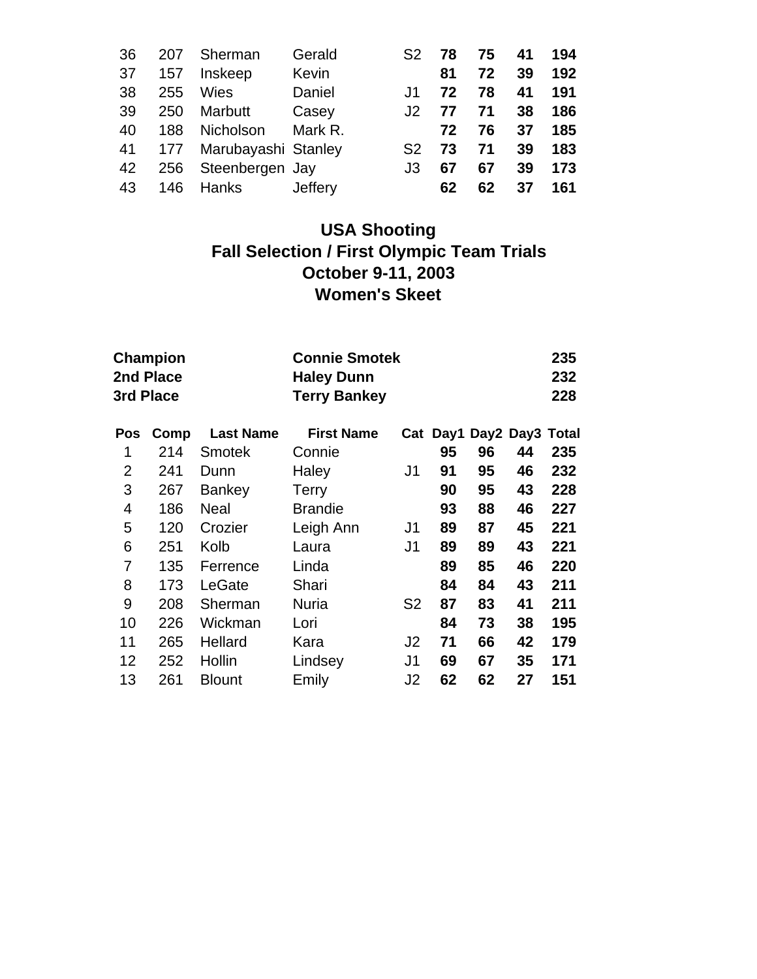| 36 | 207 | Sherman                    | Gerald  | S <sub>2</sub> | 78 | 75 | 41 | 194 |
|----|-----|----------------------------|---------|----------------|----|----|----|-----|
| 37 | 157 | Inskeep                    | Kevin   |                | 81 | 72 | 39 | 192 |
| 38 | 255 | <b>Wies</b>                | Daniel  | J1.            | 72 | 78 | 41 | 191 |
| 39 | 250 | Marbutt                    | Casey   | .12            | 77 | 71 | 38 | 186 |
| 40 | 188 | Nicholson                  | Mark R. |                | 72 | 76 | 37 | 185 |
|    |     | 41 177 Marubayashi Stanley |         | S <sub>2</sub> | 73 | 71 | 39 | 183 |
| 42 | 256 | Steenbergen Jay            |         | J3             | 67 | 67 | 39 | 173 |
| 43 |     | 146 Hanks                  | Jeffery |                | 62 | 62 | 37 | 161 |

# **USA Shooting Fall Selection / First Olympic Team Trials October 9-11, 2003 Women's Skeet**

| <b>Champion</b><br>2nd Place<br>3rd Place |                  | <b>Haley Dunn</b><br><b>Terry Bankey</b> |                |                      |    | 235<br>232<br>228 |                          |
|-------------------------------------------|------------------|------------------------------------------|----------------|----------------------|----|-------------------|--------------------------|
| Comp                                      | <b>Last Name</b> | <b>First Name</b>                        |                |                      |    |                   |                          |
| 214                                       | <b>Smotek</b>    | Connie                                   |                | 95                   | 96 | 44                | 235                      |
| 241                                       | Dunn             | Haley                                    | J1             | 91                   | 95 | 46                | 232                      |
| 267                                       | Bankey           | <b>Terry</b>                             |                | 90                   | 95 | 43                | 228                      |
| 186                                       | Neal             | <b>Brandie</b>                           |                | 93                   | 88 | 46                | 227                      |
| 120                                       | Crozier          | Leigh Ann                                | J1             | 89                   | 87 | 45                | 221                      |
| 251                                       | Kolb             | Laura                                    | J1             | 89                   | 89 | 43                | 221                      |
| 135                                       | Ferrence         | Linda                                    |                | 89                   | 85 | 46                | 220                      |
| 173                                       | LeGate           | Shari                                    |                | 84                   | 84 | 43                | 211                      |
| 208                                       | Sherman          | <b>Nuria</b>                             | S <sub>2</sub> | 87                   | 83 | 41                | 211                      |
| 226                                       | Wickman          | Lori                                     |                | 84                   | 73 | 38                | 195                      |
| 265                                       | Hellard          | Kara                                     | J2             | 71                   | 66 | 42                | 179                      |
| 252                                       | Hollin           | Lindsey                                  | J1             | 69                   | 67 | 35                | 171                      |
| 261                                       | <b>Blount</b>    | Emily                                    | J2             | 62                   | 62 | 27                | 151                      |
|                                           |                  |                                          |                | <b>Connie Smotek</b> |    |                   | Cat Day1 Day2 Day3 Total |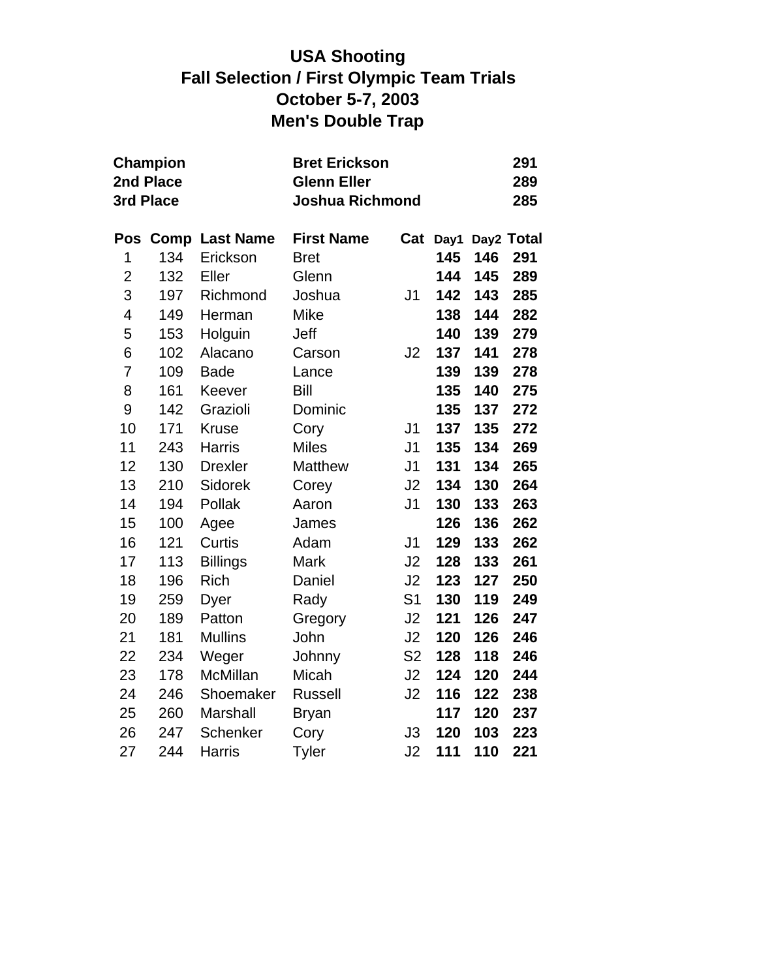# **USA Shooting Fall Selection / First Olympic Team Trials October 5-7, 2003 Men's Double Trap**

|                | Champion<br>2nd Place<br>3rd Place |                       | <b>Bret Erickson</b><br><b>Glenn Eller</b><br><b>Joshua Richmond</b> |                |      |     |            |  |
|----------------|------------------------------------|-----------------------|----------------------------------------------------------------------|----------------|------|-----|------------|--|
| Pos            |                                    | <b>Comp Last Name</b> | <b>First Name</b>                                                    | Cat            | Day1 |     | Day2 Total |  |
| 1              | 134                                | Erickson              | <b>Bret</b>                                                          |                | 145  | 146 | 291        |  |
| $\overline{c}$ | 132                                | Eller                 | Glenn                                                                |                | 144  | 145 | 289        |  |
| 3              | 197                                | Richmond              | Joshua                                                               | J <sub>1</sub> | 142  | 143 | 285        |  |
| 4              | 149                                | Herman                | Mike                                                                 |                | 138  | 144 | 282        |  |
| 5              | 153                                | Holguin               | Jeff                                                                 |                | 140  | 139 | 279        |  |
| 6              | 102                                | Alacano               | Carson                                                               | J2             | 137  | 141 | 278        |  |
| $\overline{7}$ | 109                                | <b>Bade</b>           | Lance                                                                |                | 139  | 139 | 278        |  |
| 8              | 161                                | Keever                | <b>Bill</b>                                                          |                | 135  | 140 | 275        |  |
| 9              | 142                                | Grazioli              | Dominic                                                              |                | 135  | 137 | 272        |  |
| 10             | 171                                | <b>Kruse</b>          | Cory                                                                 | J <sub>1</sub> | 137  | 135 | 272        |  |
| 11             | 243                                | <b>Harris</b>         | <b>Miles</b>                                                         | J1             | 135  | 134 | 269        |  |
| 12             | 130                                | <b>Drexler</b>        | Matthew                                                              | J <sub>1</sub> | 131  | 134 | 265        |  |
| 13             | 210                                | Sidorek               | Corey                                                                | J2             | 134  | 130 | 264        |  |
| 14             | 194                                | Pollak                | Aaron                                                                | J <sub>1</sub> | 130  | 133 | 263        |  |
| 15             | 100                                | Agee                  | James                                                                |                | 126  | 136 | 262        |  |
| 16             | 121                                | Curtis                | Adam                                                                 | J <sub>1</sub> | 129  | 133 | 262        |  |
| 17             | 113                                | <b>Billings</b>       | Mark                                                                 | J2             | 128  | 133 | 261        |  |
| 18             | 196                                | <b>Rich</b>           | Daniel                                                               | J2             | 123  | 127 | 250        |  |
| 19             | 259                                | Dyer                  | Rady                                                                 | S <sub>1</sub> | 130  | 119 | 249        |  |
| 20             | 189                                | Patton                | Gregory                                                              | J2             | 121  | 126 | 247        |  |
| 21             | 181                                | <b>Mullins</b>        | John                                                                 | J2             | 120  | 126 | 246        |  |
| 22             | 234                                | Weger                 | Johnny                                                               | S <sub>2</sub> | 128  | 118 | 246        |  |
| 23             | 178                                | McMillan              | Micah                                                                | J2             | 124  | 120 | 244        |  |
| 24             | 246                                | Shoemaker             | <b>Russell</b>                                                       | J2             | 116  | 122 | 238        |  |
| 25             | 260                                | <b>Marshall</b>       | <b>Bryan</b>                                                         |                | 117  | 120 | 237        |  |
| 26             | 247                                | Schenker              | Cory                                                                 | J3             | 120  | 103 | 223        |  |
| 27             | 244                                | <b>Harris</b>         | Tyler                                                                | J2             | 111  | 110 | 221        |  |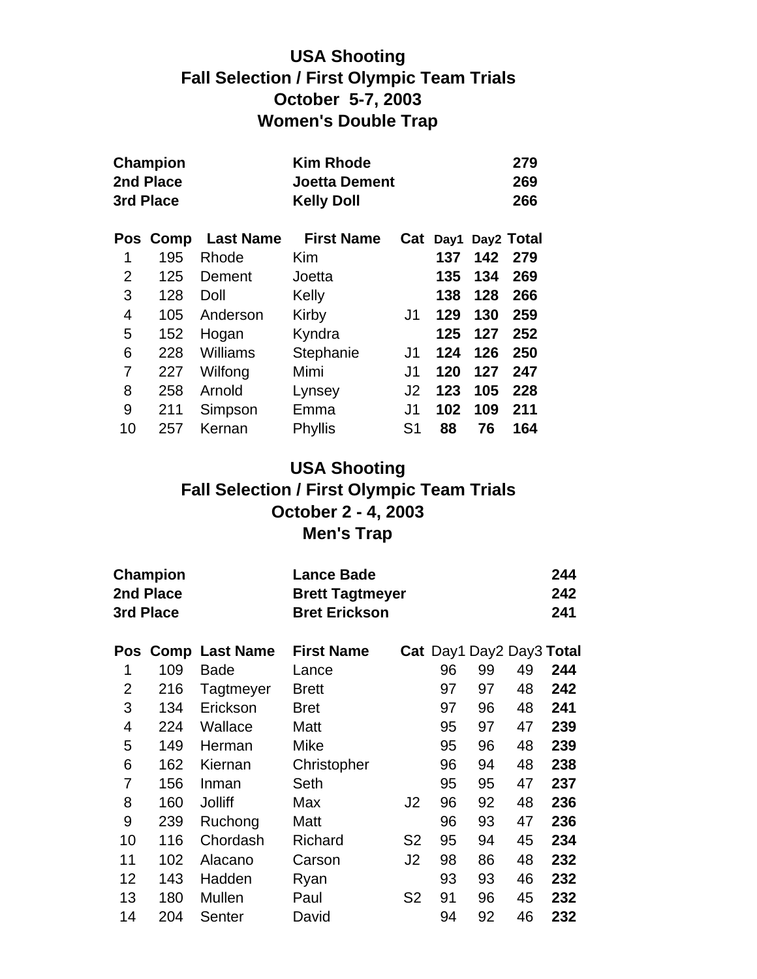# **USA Shooting Fall Selection / First Olympic Team Trials October 5-7, 2003 Women's Double Trap**

|    | <b>Champion</b><br>2nd Place |                  | <b>Kim Rhode</b><br><b>Joetta Dement</b> |                |      |     | 279<br>269 |
|----|------------------------------|------------------|------------------------------------------|----------------|------|-----|------------|
|    | 3rd Place                    |                  | <b>Kelly Doll</b>                        |                | 266  |     |            |
|    | Pos Comp                     | <b>Last Name</b> | <b>First Name</b>                        | Cat            | Day1 |     | Day2 Total |
| 1  | 195                          | Rhode            | Kim                                      |                | 137  | 142 | 279        |
| 2  | 125                          | Dement           | Joetta                                   |                | 135  | 134 | 269        |
| 3  | 128                          | Doll             | Kelly                                    |                | 138  | 128 | 266        |
| 4  | 105                          | Anderson         | Kirby                                    | J1             | 129  | 130 | 259        |
| 5  | 152                          | Hogan            | Kyndra                                   |                | 125  | 127 | 252        |
| 6  | 228                          | Williams         | Stephanie                                | J1             | 124  | 126 | 250        |
| 7  | 227                          | Wilfong          | Mimi                                     | J1             | 120  | 127 | 247        |
| 8  | 258                          | Arnold           | Lynsey                                   | J <sub>2</sub> | 123  | 105 | 228        |
| 9  | 211                          | Simpson          | Emma                                     | J1             | 102  | 109 | 211        |
| 10 | 257                          | Kernan           | Phyllis                                  | S <sub>1</sub> | 88   | 76  | 164        |

#### **USA Shooting Fall Selection / First Olympic Team Trials October 2 - 4, 2003 Men's Trap**

|                | <b>Champion</b><br>2nd Place<br>3rd Place |                    | <b>Lance Bade</b><br><b>Brett Tagtmeyer</b><br><b>Bret Erickson</b> |                |    |    |                          | 244<br>242<br>241 |
|----------------|-------------------------------------------|--------------------|---------------------------------------------------------------------|----------------|----|----|--------------------------|-------------------|
|                |                                           | Pos Comp Last Name | <b>First Name</b>                                                   |                |    |    | Cat Day1 Day2 Day3 Total |                   |
| 1              | 109                                       | <b>Bade</b>        | Lance                                                               |                | 96 | 99 | 49                       | 244               |
| $\overline{2}$ | 216                                       | Tagtmeyer          | <b>Brett</b>                                                        |                | 97 | 97 | 48                       | 242               |
| 3              | 134                                       | Erickson           | <b>Bret</b>                                                         |                | 97 | 96 | 48                       | 241               |
| 4              | 224                                       | Wallace            | Matt                                                                |                | 95 | 97 | 47                       | 239               |
| 5              | 149                                       | Herman             | Mike                                                                |                | 95 | 96 | 48                       | 239               |
| 6              | 162                                       | Kiernan            | Christopher                                                         |                | 96 | 94 | 48                       | 238               |
| 7              | 156                                       | Inman              | Seth                                                                |                | 95 | 95 | 47                       | 237               |
| 8              | 160                                       | <b>Jolliff</b>     | Max                                                                 | J2             | 96 | 92 | 48                       | 236               |
| 9              | 239                                       | Ruchong            | Matt                                                                |                | 96 | 93 | 47                       | 236               |
| 10             | 116                                       | Chordash           | Richard                                                             | S <sub>2</sub> | 95 | 94 | 45                       | 234               |
| 11             | 102                                       | Alacano            | Carson                                                              | J2             | 98 | 86 | 48                       | 232               |
| 12             | 143                                       | Hadden             | Ryan                                                                |                | 93 | 93 | 46                       | 232               |
| 13             | 180                                       | Mullen             | Paul                                                                | S2             | 91 | 96 | 45                       | 232               |
| 14             | 204                                       | Senter             | David                                                               |                | 94 | 92 | 46                       | 232               |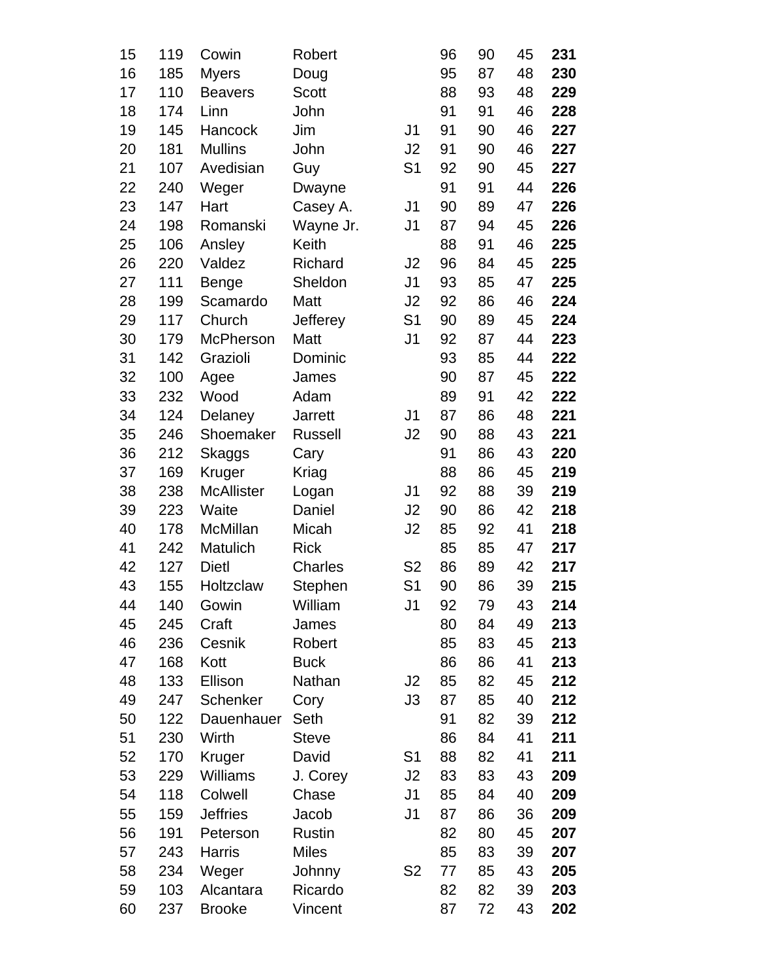| 15 | 119 | Cowin             | Robert         |                | 96 | 90 | 45 | 231 |
|----|-----|-------------------|----------------|----------------|----|----|----|-----|
| 16 | 185 | <b>Myers</b>      | Doug           |                | 95 | 87 | 48 | 230 |
| 17 | 110 | <b>Beavers</b>    | <b>Scott</b>   |                | 88 | 93 | 48 | 229 |
| 18 | 174 | Linn              | John           |                | 91 | 91 | 46 | 228 |
| 19 | 145 | Hancock           | Jim            | J <sub>1</sub> | 91 | 90 | 46 | 227 |
| 20 | 181 | <b>Mullins</b>    | John           | J2             | 91 | 90 | 46 | 227 |
| 21 | 107 | Avedisian         | Guy            | S <sub>1</sub> | 92 | 90 | 45 | 227 |
| 22 | 240 | Weger             | Dwayne         |                | 91 | 91 | 44 | 226 |
| 23 | 147 | Hart              | Casey A.       | J <sub>1</sub> | 90 | 89 | 47 | 226 |
| 24 | 198 | Romanski          | Wayne Jr.      | J <sub>1</sub> | 87 | 94 | 45 | 226 |
| 25 | 106 | Ansley            | Keith          |                | 88 | 91 | 46 | 225 |
| 26 | 220 | Valdez            | Richard        | J2             | 96 | 84 | 45 | 225 |
| 27 | 111 | <b>Benge</b>      | Sheldon        | J <sub>1</sub> | 93 | 85 | 47 | 225 |
| 28 | 199 | Scamardo          | Matt           | J2             | 92 | 86 | 46 | 224 |
| 29 | 117 | Church            | Jefferey       | S <sub>1</sub> | 90 | 89 | 45 | 224 |
| 30 | 179 | <b>McPherson</b>  | Matt           | J <sub>1</sub> | 92 | 87 | 44 | 223 |
| 31 | 142 | Grazioli          | Dominic        |                | 93 | 85 | 44 | 222 |
| 32 | 100 | Agee              | James          |                | 90 | 87 | 45 | 222 |
| 33 | 232 | Wood              | Adam           |                | 89 | 91 | 42 | 222 |
| 34 | 124 | Delaney           | <b>Jarrett</b> | J <sub>1</sub> | 87 | 86 | 48 | 221 |
| 35 | 246 | Shoemaker         | <b>Russell</b> | J <sub>2</sub> | 90 | 88 | 43 | 221 |
| 36 | 212 | <b>Skaggs</b>     | Cary           |                | 91 | 86 | 43 | 220 |
| 37 | 169 | Kruger            | Kriag          |                | 88 | 86 | 45 | 219 |
| 38 | 238 | <b>McAllister</b> | Logan          | J <sub>1</sub> | 92 | 88 | 39 | 219 |
| 39 | 223 | Waite             | Daniel         | J <sub>2</sub> | 90 | 86 | 42 | 218 |
| 40 | 178 | <b>McMillan</b>   | Micah          | J <sub>2</sub> | 85 | 92 | 41 | 218 |
| 41 | 242 | Matulich          | <b>Rick</b>    |                | 85 | 85 | 47 | 217 |
| 42 | 127 | <b>Dietl</b>      | Charles        | S <sub>2</sub> | 86 | 89 | 42 | 217 |
| 43 | 155 | Holtzclaw         | Stephen        | S <sub>1</sub> | 90 | 86 | 39 | 215 |
| 44 | 140 | Gowin             | William        | J1             | 92 | 79 | 43 | 214 |
| 45 | 245 | Craft             | James          |                | 80 | 84 | 49 | 213 |
| 46 | 236 | Cesnik            | Robert         |                | 85 | 83 | 45 | 213 |
| 47 | 168 | Kott              | <b>Buck</b>    |                | 86 | 86 | 41 | 213 |
| 48 | 133 | Ellison           | Nathan         | J2             | 85 | 82 | 45 | 212 |
| 49 | 247 | Schenker          | Cory           | J3             | 87 | 85 | 40 | 212 |
| 50 | 122 | Dauenhauer        | Seth           |                | 91 | 82 | 39 | 212 |
| 51 | 230 | Wirth             | <b>Steve</b>   |                | 86 | 84 | 41 | 211 |
| 52 | 170 | Kruger            | David          | S <sub>1</sub> | 88 | 82 | 41 | 211 |
| 53 | 229 | Williams          | J. Corey       | J2             | 83 | 83 | 43 | 209 |
| 54 | 118 | Colwell           | Chase          | J <sub>1</sub> | 85 | 84 | 40 | 209 |
| 55 | 159 | <b>Jeffries</b>   | Jacob          | J <sub>1</sub> | 87 | 86 | 36 | 209 |
| 56 | 191 | Peterson          | Rustin         |                | 82 | 80 | 45 | 207 |
| 57 | 243 | <b>Harris</b>     | <b>Miles</b>   |                | 85 | 83 | 39 | 207 |
| 58 | 234 | Weger             | Johnny         | S <sub>2</sub> | 77 | 85 | 43 | 205 |
| 59 | 103 | Alcantara         | Ricardo        |                | 82 | 82 | 39 | 203 |
| 60 | 237 | <b>Brooke</b>     | Vincent        |                | 87 | 72 | 43 | 202 |